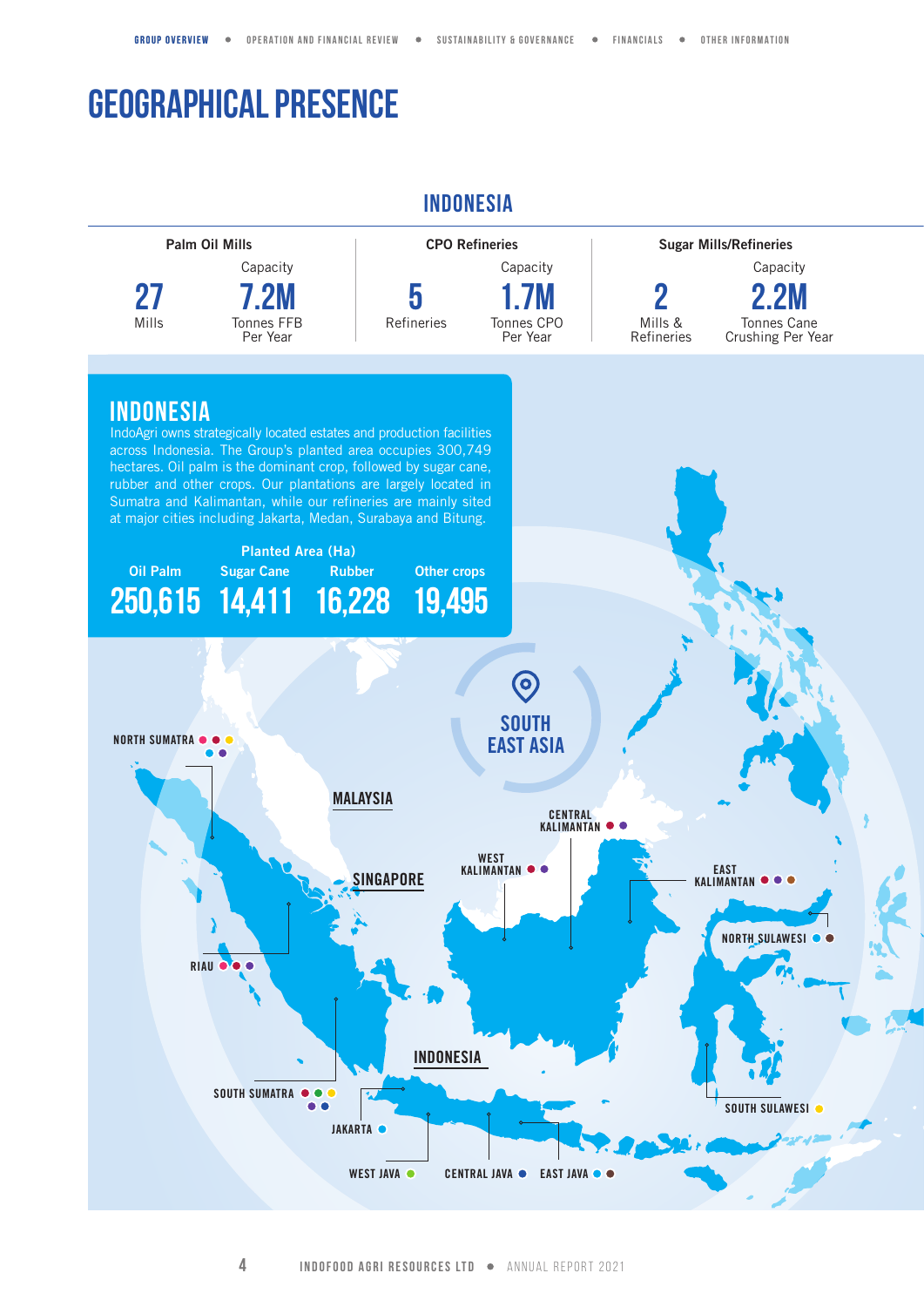## **GEOGRAPHICAL PRESENCE**